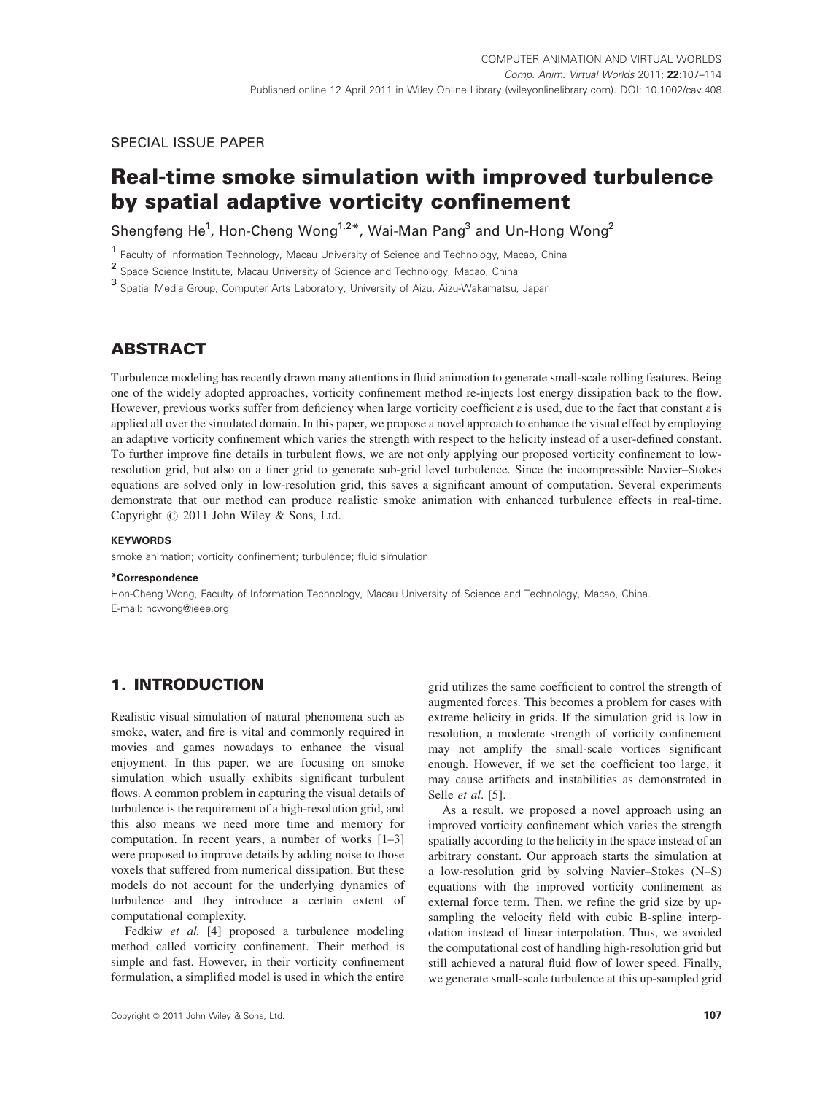# SPECIAL ISSUE PAPER

# Real-time smoke simulation with improved turbulence by spatial adaptive vorticity confinement

Shengfeng He<sup>1</sup>, Hon-Cheng Wong<sup>1,2\*</sup>, Wai-Man Pang<sup>3</sup> and Un-Hong Wong<sup>2</sup>

<sup>1</sup> Faculty of Information Technology, Macau University of Science and Technology, Macao, China

<sup>2</sup> Space Science Institute, Macau University of Science and Technology, Macao, China

<sup>3</sup> Spatial Media Group, Computer Arts Laboratory, University of Aizu, Aizu-Wakamatsu, Japan

# **ABSTRACT**

Turbulence modeling has recently drawn many attentions in fluid animation to generate small-scale rolling features. Being one of the widely adopted approaches, vorticity confinement method re-injects lost energy dissipation back to the flow. However, previous works suffer from deficiency when large vorticity coefficient  $\varepsilon$  is used, due to the fact that constant  $\varepsilon$  is applied all over the simulated domain. In this paper, we propose a novel approach to enhance the visual effect by employing an adaptive vorticity confinement which varies the strength with respect to the helicity instead of a user-defined constant. To further improve fine details in turbulent flows, we are not only applying our proposed vorticity confinement to lowresolution grid, but also on a finer grid to generate sub-grid level turbulence. Since the incompressible Navier–Stokes equations are solved only in low-resolution grid, this saves a significant amount of computation. Several experiments demonstrate that our method can produce realistic smoke animation with enhanced turbulence effects in real-time. Copyright  $@$  2011 John Wiley & Sons, Ltd.

#### **KEYWORDS**

smoke animation; vorticity confinement; turbulence; fluid simulation

#### \*Correspondence

Hon-Cheng Wong, Faculty of Information Technology, Macau University of Science and Technology, Macao, China. E-mail: hcwong@ieee.org

# 1. INTRODUCTION

Realistic visual simulation of natural phenomena such as smoke, water, and fire is vital and commonly required in movies and games nowadays to enhance the visual enjoyment. In this paper, we are focusing on smoke simulation which usually exhibits significant turbulent flows. A common problem in capturing the visual details of turbulence is the requirement of a high-resolution grid, and this also means we need more time and memory for computation. In recent years, a number of works [1–3] were proposed to improve details by adding noise to those voxels that suffered from numerical dissipation. But these models do not account for the underlying dynamics of turbulence and they introduce a certain extent of computational complexity.

Fedkiw et al. [4] proposed a turbulence modeling method called vorticity confinement. Their method is simple and fast. However, in their vorticity confinement formulation, a simplified model is used in which the entire grid utilizes the same coefficient to control the strength of augmented forces. This becomes a problem for cases with extreme helicity in grids. If the simulation grid is low in resolution, a moderate strength of vorticity confinement may not amplify the small-scale vortices significant enough. However, if we set the coefficient too large, it may cause artifacts and instabilities as demonstrated in Selle et al. [5].

As a result, we proposed a novel approach using an improved vorticity confinement which varies the strength spatially according to the helicity in the space instead of an arbitrary constant. Our approach starts the simulation at a low-resolution grid by solving Navier–Stokes (N–S) equations with the improved vorticity confinement as external force term. Then, we refine the grid size by upsampling the velocity field with cubic B-spline interpolation instead of linear interpolation. Thus, we avoided the computational cost of handling high-resolution grid but still achieved a natural fluid flow of lower speed. Finally, we generate small-scale turbulence at this up-sampled grid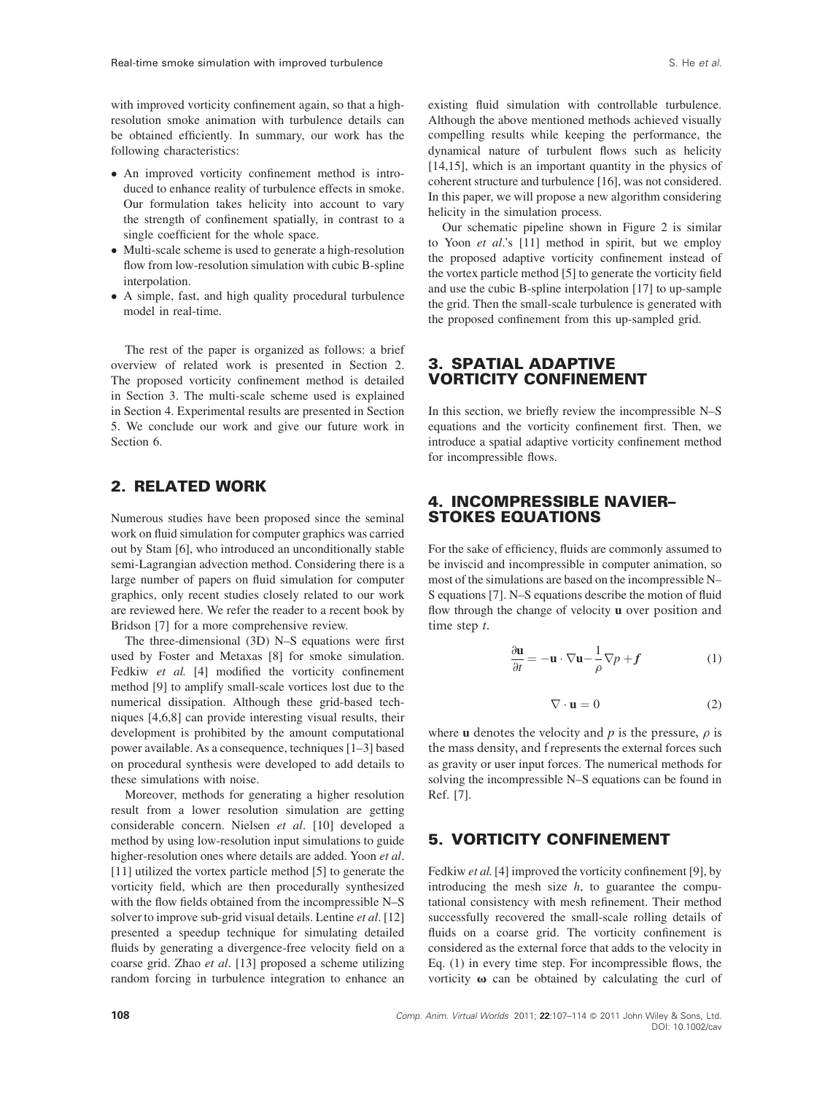with improved vorticity confinement again, so that a highresolution smoke animation with turbulence details can be obtained efficiently. In summary, our work has the following characteristics:

- An improved vorticity confinement method is introduced to enhance reality of turbulence effects in smoke. Our formulation takes helicity into account to vary the strength of confinement spatially, in contrast to a single coefficient for the whole space.
- Multi-scale scheme is used to generate a high-resolution flow from low-resolution simulation with cubic B-spline interpolation.
- A simple, fast, and high quality procedural turbulence model in real-time.

The rest of the paper is organized as follows: a brief overview of related work is presented in Section 2. The proposed vorticity confinement method is detailed in Section 3. The multi-scale scheme used is explained in Section 4. Experimental results are presented in Section 5. We conclude our work and give our future work in Section 6.

# 2. RELATED WORK

Numerous studies have been proposed since the seminal work on fluid simulation for computer graphics was carried out by Stam [6], who introduced an unconditionally stable semi-Lagrangian advection method. Considering there is a large number of papers on fluid simulation for computer graphics, only recent studies closely related to our work are reviewed here. We refer the reader to a recent book by Bridson [7] for a more comprehensive review.

The three-dimensional (3D) N–S equations were first used by Foster and Metaxas [8] for smoke simulation. Fedkiw et al. [4] modified the vorticity confinement method [9] to amplify small-scale vortices lost due to the numerical dissipation. Although these grid-based techniques [4,6,8] can provide interesting visual results, their development is prohibited by the amount computational power available. As a consequence, techniques [1–3] based on procedural synthesis were developed to add details to these simulations with noise.

Moreover, methods for generating a higher resolution result from a lower resolution simulation are getting considerable concern. Nielsen et al. [10] developed a method by using low-resolution input simulations to guide higher-resolution ones where details are added. Yoon et al. [11] utilized the vortex particle method [5] to generate the vorticity field, which are then procedurally synthesized with the flow fields obtained from the incompressible N–S solver to improve sub-grid visual details. Lentine *et al.* [12] presented a speedup technique for simulating detailed fluids by generating a divergence-free velocity field on a coarse grid. Zhao et al. [13] proposed a scheme utilizing random forcing in turbulence integration to enhance an existing fluid simulation with controllable turbulence. Although the above mentioned methods achieved visually compelling results while keeping the performance, the dynamical nature of turbulent flows such as helicity [14,15], which is an important quantity in the physics of coherent structure and turbulence [16], was not considered. In this paper, we will propose a new algorithm considering helicity in the simulation process.

Our schematic pipeline shown in Figure 2 is similar to Yoon et al.'s [11] method in spirit, but we employ the proposed adaptive vorticity confinement instead of the vortex particle method [5] to generate the vorticity field and use the cubic B-spline interpolation [17] to up-sample the grid. Then the small-scale turbulence is generated with the proposed confinement from this up-sampled grid.

# 3. SPATIAL ADAPTIVE VORTICITY CONFINEMENT

In this section, we briefly review the incompressible N–S equations and the vorticity confinement first. Then, we introduce a spatial adaptive vorticity confinement method for incompressible flows.

### 4. INCOMPRESSIBLE NAVIER– STOKES EQUATIONS

For the sake of efficiency, fluids are commonly assumed to be inviscid and incompressible in computer animation, so most of the simulations are based on the incompressible N– S equations [7]. N–S equations describe the motion of fluid flow through the change of velocity <sup>u</sup> over position and time step t.

$$
\frac{\partial \mathbf{u}}{\partial t} = -\mathbf{u} \cdot \nabla \mathbf{u} - \frac{1}{\rho} \nabla p + f \tag{1}
$$

$$
\nabla \cdot \mathbf{u} = 0 \tag{2}
$$

where **u** denotes the velocity and p is the pressure,  $\rho$  is the mass density, and f represents the external forces such as gravity or user input forces. The numerical methods for solving the incompressible N–S equations can be found in Ref. [7].

# 5. VORTICITY CONFINEMENT

Fedkiw et al. [4] improved the vorticity confinement [9], by introducing the mesh size  $h$ , to guarantee the computational consistency with mesh refinement. Their method successfully recovered the small-scale rolling details of fluids on a coarse grid. The vorticity confinement is considered as the external force that adds to the velocity in Eq. (1) in every time step. For incompressible flows, the vorticity  $\omega$  can be obtained by calculating the curl of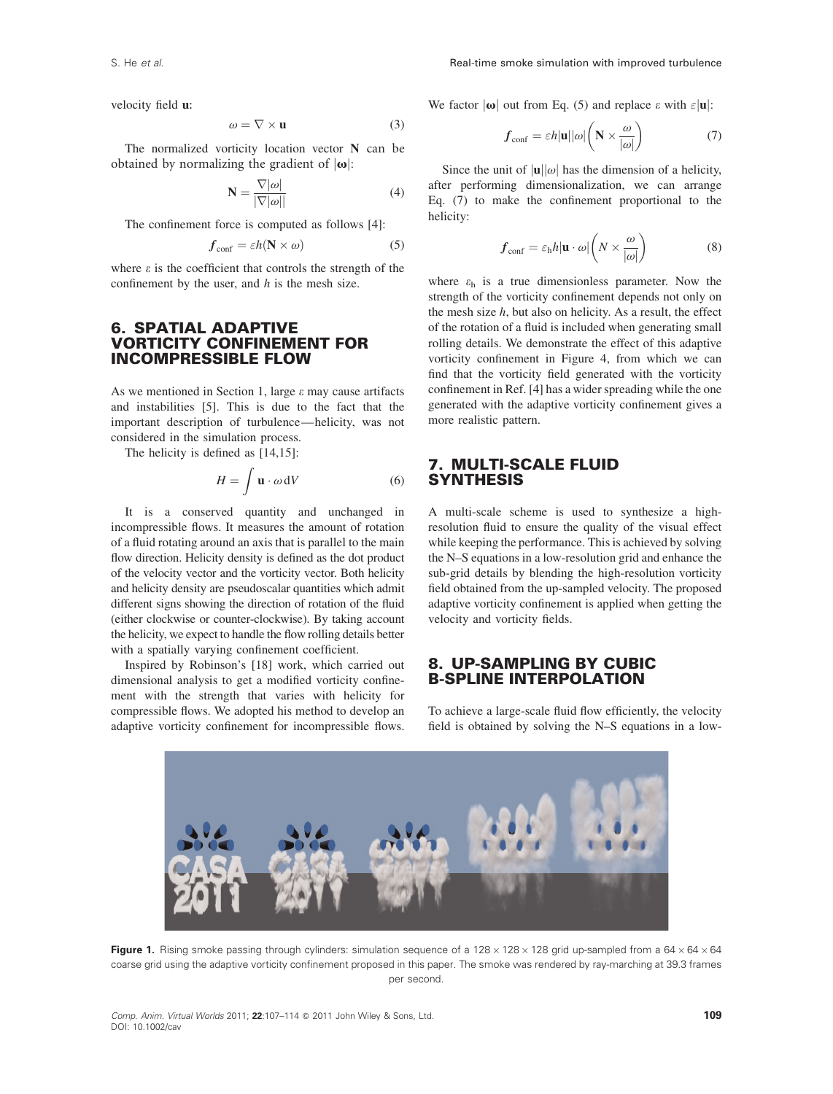velocity field u:

$$
\omega = \nabla \times \mathbf{u} \tag{3}
$$

The normalized vorticity location vector N can be obtained by normalizing the gradient of  $|\omega|$ :

$$
\mathbf{N} = \frac{\nabla |\omega|}{|\nabla |\omega||} \tag{4}
$$

The confinement force is computed as follows [4]:

$$
f_{\text{conf}} = \varepsilon h(\mathbf{N} \times \omega) \tag{5}
$$

where  $\varepsilon$  is the coefficient that controls the strength of the confinement by the user, and  $h$  is the mesh size.

## 6. SPATIAL ADAPTIVE VORTICITY CONFINEMENT FOR INCOMPRESSIBLE FLOW

As we mentioned in Section 1, large  $\varepsilon$  may cause artifacts and instabilities [5]. This is due to the fact that the important description of turbulence—helicity, was not considered in the simulation process.

The helicity is defined as [14,15]:

$$
H = \int \mathbf{u} \cdot \omega \, \mathrm{d}V \tag{6}
$$

It is a conserved quantity and unchanged in incompressible flows. It measures the amount of rotation of a fluid rotating around an axis that is parallel to the main flow direction. Helicity density is defined as the dot product of the velocity vector and the vorticity vector. Both helicity and helicity density are pseudoscalar quantities which admit different signs showing the direction of rotation of the fluid (either clockwise or counter-clockwise). By taking account the helicity, we expect to handle the flow rolling details better with a spatially varying confinement coefficient.

Inspired by Robinson's [18] work, which carried out dimensional analysis to get a modified vorticity confinement with the strength that varies with helicity for compressible flows. We adopted his method to develop an adaptive vorticity confinement for incompressible flows. We factor  $|\omega|$  out from Eq. (5) and replace  $\varepsilon$  with  $\varepsilon |\mathbf{u}|$ :

$$
f_{\text{conf}} = \varepsilon h|\mathbf{u}||\omega| \left(\mathbf{N} \times \frac{\omega}{|\omega|}\right) \tag{7}
$$

Since the unit of  $|u||\omega|$  has the dimension of a helicity, after performing dimensionalization, we can arrange Eq. (7) to make the confinement proportional to the helicity:

$$
f_{\text{conf}} = \varepsilon_{\text{h}} h | \mathbf{u} \cdot \omega | \left( N \times \frac{\omega}{|\omega|} \right) \tag{8}
$$

where  $\varepsilon_h$  is a true dimensionless parameter. Now the strength of the vorticity confinement depends not only on the mesh size  $h$ , but also on helicity. As a result, the effect of the rotation of a fluid is included when generating small rolling details. We demonstrate the effect of this adaptive vorticity confinement in Figure 4, from which we can find that the vorticity field generated with the vorticity confinement in Ref. [4] has a wider spreading while the one generated with the adaptive vorticity confinement gives a more realistic pattern.

# 7. MULTI-SCALE FLUID **SYNTHESIS**

A multi-scale scheme is used to synthesize a highresolution fluid to ensure the quality of the visual effect while keeping the performance. This is achieved by solving the N–S equations in a low-resolution grid and enhance the sub-grid details by blending the high-resolution vorticity field obtained from the up-sampled velocity. The proposed adaptive vorticity confinement is applied when getting the velocity and vorticity fields.

# 8. UP-SAMPLING BY CUBIC B-SPLINE INTERPOLATION

To achieve a large-scale fluid flow efficiently, the velocity field is obtained by solving the N–S equations in a low-



Figure 1. Rising smoke passing through cylinders: simulation sequence of a  $128 \times 128 \times 128$  grid up-sampled from a  $64 \times 64 \times 64$ coarse grid using the adaptive vorticity confinement proposed in this paper. The smoke was rendered by ray-marching at 39.3 frames per second.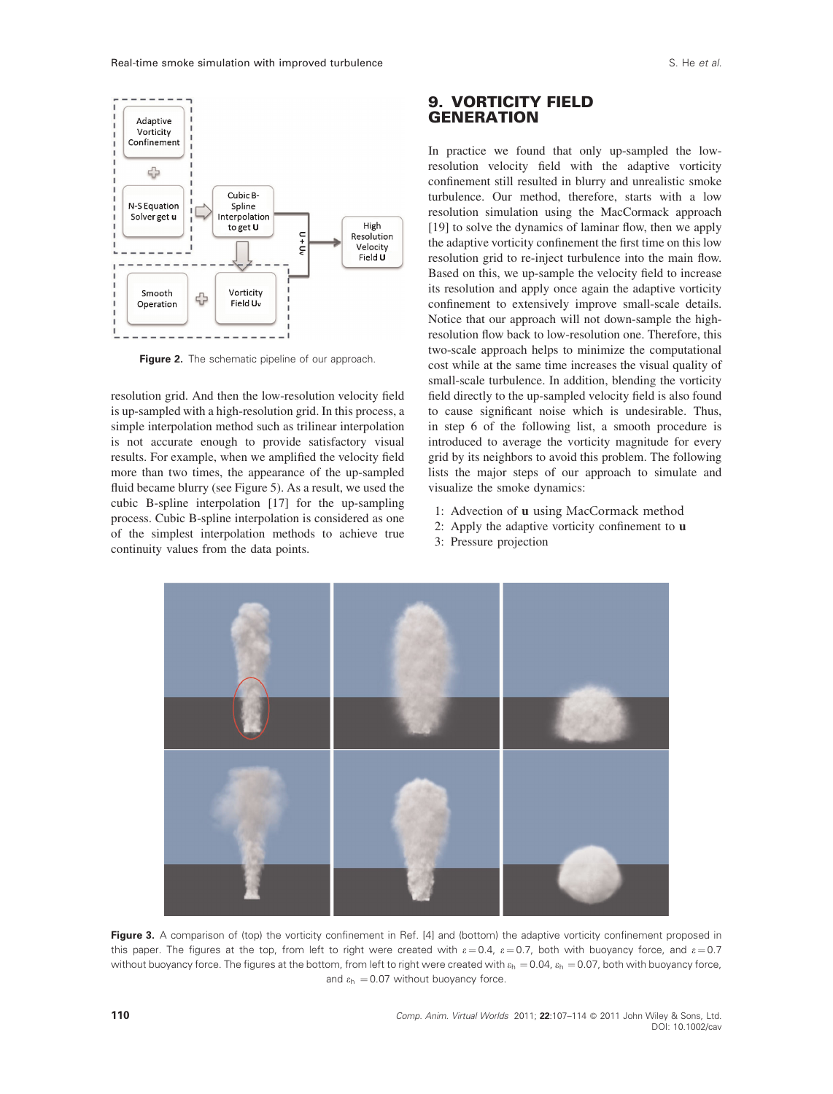

Figure 2. The schematic pipeline of our approach.

resolution grid. And then the low-resolution velocity field is up-sampled with a high-resolution grid. In this process, a simple interpolation method such as trilinear interpolation is not accurate enough to provide satisfactory visual results. For example, when we amplified the velocity field more than two times, the appearance of the up-sampled fluid became blurry (see Figure 5). As a result, we used the cubic B-spline interpolation [17] for the up-sampling process. Cubic B-spline interpolation is considered as one of the simplest interpolation methods to achieve true continuity values from the data points.

# 9. VORTICITY FIELD **GENERATION**

In practice we found that only up-sampled the lowresolution velocity field with the adaptive vorticity confinement still resulted in blurry and unrealistic smoke turbulence. Our method, therefore, starts with a low resolution simulation using the MacCormack approach [19] to solve the dynamics of laminar flow, then we apply the adaptive vorticity confinement the first time on this low resolution grid to re-inject turbulence into the main flow. Based on this, we up-sample the velocity field to increase its resolution and apply once again the adaptive vorticity confinement to extensively improve small-scale details. Notice that our approach will not down-sample the highresolution flow back to low-resolution one. Therefore, this two-scale approach helps to minimize the computational cost while at the same time increases the visual quality of small-scale turbulence. In addition, blending the vorticity field directly to the up-sampled velocity field is also found to cause significant noise which is undesirable. Thus, in step 6 of the following list, a smooth procedure is introduced to average the vorticity magnitude for every grid by its neighbors to avoid this problem. The following lists the major steps of our approach to simulate and visualize the smoke dynamics:

- 1: Advection of <sup>u</sup> using MacCormack method
- 2: Apply the adaptive vorticity confinement to u
- 3: Pressure projection



Figure 3. A comparison of (top) the vorticity confinement in Ref. [4] and (bottom) the adaptive vorticity confinement proposed in this paper. The figures at the top, from left to right were created with  $\varepsilon = 0.4$ ,  $\varepsilon = 0.7$ , both with buoyancy force, and  $\varepsilon = 0.7$ without buoyancy force. The figures at the bottom, from left to right were created with  $\varepsilon_h = 0.04$ ,  $\varepsilon_h = 0.07$ , both with buoyancy force, and  $\varepsilon_h = 0.07$  without buoyancy force.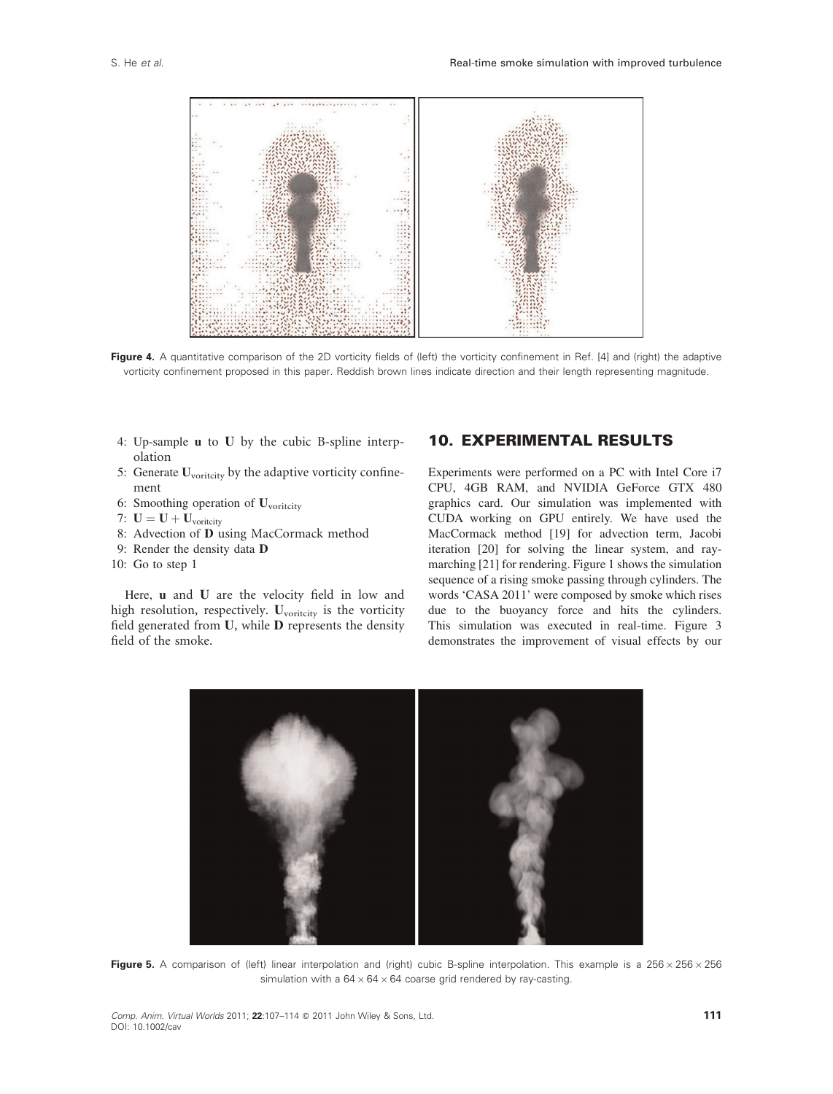

Figure 4. A quantitative comparison of the 2D vorticity fields of (left) the vorticity confinement in Ref. [4] and (right) the adaptive vorticity confinement proposed in this paper. Reddish brown lines indicate direction and their length representing magnitude.

- 4: Up-sample u to U by the cubic B-spline interpolation
- 5: Generate  $U_{\text{vorticity}}$  by the adaptive vorticity confinement
- 6: Smoothing operation of U<sub>voritcity</sub>
- 7:  $\mathbf{U} = \mathbf{U} + \mathbf{U}_{\text{vorticity}}$
- 8: Advection of D using MacCormack method
- 9: Render the density data D
- 10: Go to step 1

Here, u and <sup>U</sup> are the velocity field in low and high resolution, respectively.  $U_{\text{vorticity}}$  is the vorticity field generated from U, while D represents the density field of the smoke.

# 10. EXPERIMENTAL RESULTS

Experiments were performed on a PC with Intel Core i7 CPU, 4GB RAM, and NVIDIA GeForce GTX 480 graphics card. Our simulation was implemented with CUDA working on GPU entirely. We have used the MacCormack method [19] for advection term, Jacobi iteration [20] for solving the linear system, and raymarching [21] for rendering. Figure 1 shows the simulation sequence of a rising smoke passing through cylinders. The words 'CASA 2011' were composed by smoke which rises due to the buoyancy force and hits the cylinders. This simulation was executed in real-time. Figure 3 demonstrates the improvement of visual effects by our



Figure 5. A comparison of (left) linear interpolation and (right) cubic B-spline interpolation. This example is a 256  $\times$  256  $\times$  256 simulation with a  $64 \times 64 \times 64$  coarse grid rendered by ray-casting.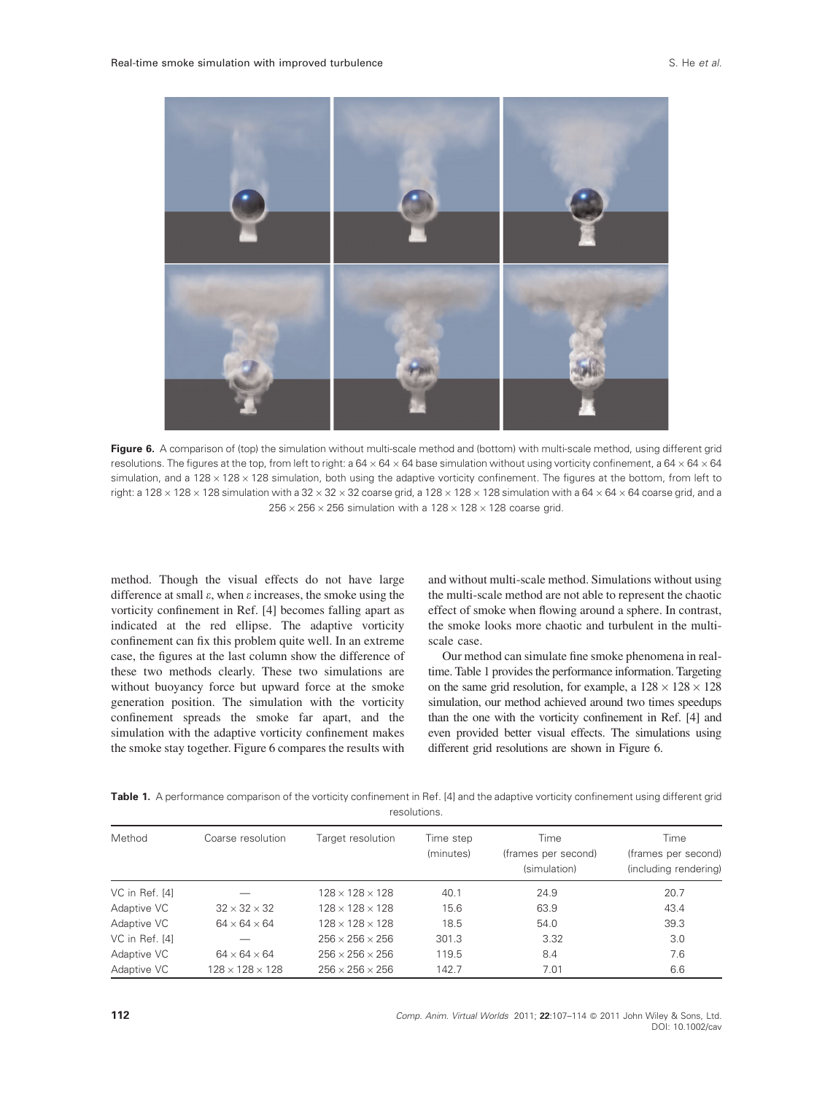

Figure 6. A comparison of (top) the simulation without multi-scale method and (bottom) with multi-scale method, using different grid resolutions. The figures at the top, from left to right: a  $64 \times 64 \times 64$  base simulation without using vorticity confinement, a  $64 \times 64 \times 64$ simulation, and a  $128 \times 128 \times 128$  simulation, both using the adaptive vorticity confinement. The figures at the bottom, from left to right: a 128  $\times$  128  $\times$  128 simulation with a 32  $\times$  32  $\times$  32 coarse grid, a 128  $\times$  128  $\times$  128 simulation with a 64  $\times$  64  $\times$  64 coarse grid, and a  $256 \times 256 \times 256$  simulation with a  $128 \times 128 \times 128$  coarse grid.

method. Though the visual effects do not have large difference at small  $\varepsilon$ , when  $\varepsilon$  increases, the smoke using the vorticity confinement in Ref. [4] becomes falling apart as indicated at the red ellipse. The adaptive vorticity confinement can fix this problem quite well. In an extreme case, the figures at the last column show the difference of these two methods clearly. These two simulations are without buoyancy force but upward force at the smoke generation position. The simulation with the vorticity confinement spreads the smoke far apart, and the simulation with the adaptive vorticity confinement makes the smoke stay together. Figure 6 compares the results with and without multi-scale method. Simulations without using the multi-scale method are not able to represent the chaotic effect of smoke when flowing around a sphere. In contrast, the smoke looks more chaotic and turbulent in the multiscale case.

Our method can simulate fine smoke phenomena in realtime. Table 1 provides the performance information. Targeting on the same grid resolution, for example, a  $128 \times 128 \times 128$ simulation, our method achieved around two times speedups than the one with the vorticity confinement in Ref. [4] and even provided better visual effects. The simulations using different grid resolutions are shown in Figure 6.

Table 1. A performance comparison of the vorticity confinement in Ref. [4] and the adaptive vorticity confinement using different grid resolutions.

| Method         | Coarse resolution           | Target resolution           | Time step<br>(minutes) | Time<br>(frames per second)<br>(simulation) | Time<br>(frames per second)<br>(including rendering) |
|----------------|-----------------------------|-----------------------------|------------------------|---------------------------------------------|------------------------------------------------------|
|                |                             |                             |                        |                                             |                                                      |
| Adaptive VC    | $32 \times 32 \times 32$    | $128 \times 128 \times 128$ | 15.6                   | 63.9                                        | 43.4                                                 |
| Adaptive VC    | $64 \times 64 \times 64$    | $128 \times 128 \times 128$ | 18.5                   | 54.0                                        | 39.3                                                 |
| VC in Ref. [4] |                             | $256 \times 256 \times 256$ | 301.3                  | 3.32                                        | 3.0                                                  |
| Adaptive VC    | $64 \times 64 \times 64$    | $256 \times 256 \times 256$ | 119.5                  | 8.4                                         | 7.6                                                  |
| Adaptive VC    | $128 \times 128 \times 128$ | $256 \times 256 \times 256$ | 142.7                  | 7.01                                        | 6.6                                                  |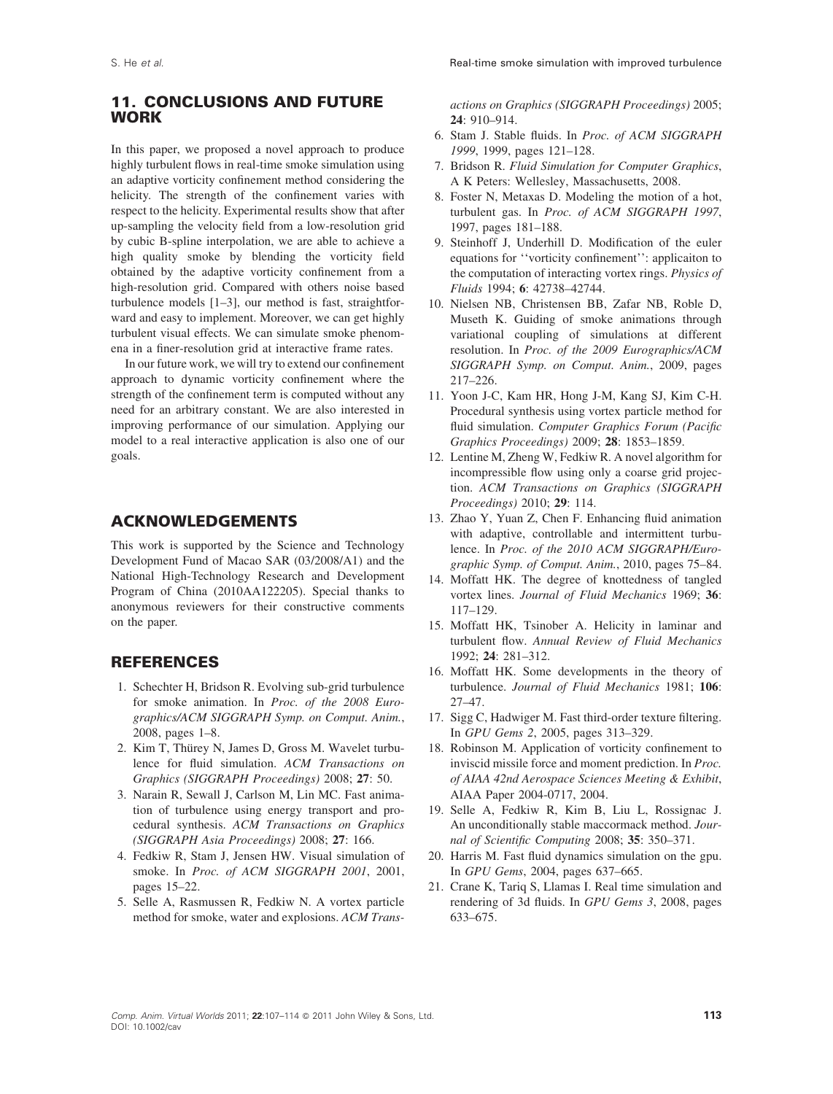# 11. CONCLUSIONS AND FUTURE WORK

In this paper, we proposed a novel approach to produce highly turbulent flows in real-time smoke simulation using an adaptive vorticity confinement method considering the helicity. The strength of the confinement varies with respect to the helicity. Experimental results show that after up-sampling the velocity field from a low-resolution grid by cubic B-spline interpolation, we are able to achieve a high quality smoke by blending the vorticity field obtained by the adaptive vorticity confinement from a high-resolution grid. Compared with others noise based turbulence models [1–3], our method is fast, straightforward and easy to implement. Moreover, we can get highly turbulent visual effects. We can simulate smoke phenomena in a finer-resolution grid at interactive frame rates.

In our future work, we will try to extend our confinement approach to dynamic vorticity confinement where the strength of the confinement term is computed without any need for an arbitrary constant. We are also interested in improving performance of our simulation. Applying our model to a real interactive application is also one of our goals.

#### ACKNOWLEDGEMENTS

This work is supported by the Science and Technology Development Fund of Macao SAR (03/2008/A1) and the National High-Technology Research and Development Program of China (2010AA122205). Special thanks to anonymous reviewers for their constructive comments on the paper.

# **REFERENCES**

- 1. Schechter H, Bridson R. Evolving sub-grid turbulence for smoke animation. In Proc. of the 2008 Eurographics/ACM SIGGRAPH Symp. on Comput. Anim., 2008, pages 1–8.
- 2. Kim T, Thürey N, James D, Gross M. Wavelet turbulence for fluid simulation. ACM Transactions on Graphics (SIGGRAPH Proceedings) 2008; 27: 50.
- 3. Narain R, Sewall J, Carlson M, Lin MC. Fast animation of turbulence using energy transport and procedural synthesis. ACM Transactions on Graphics (SIGGRAPH Asia Proceedings) 2008; 27: 166.
- 4. Fedkiw R, Stam J, Jensen HW. Visual simulation of smoke. In Proc. of ACM SIGGRAPH 2001, 2001, pages 15–22.
- 5. Selle A, Rasmussen R, Fedkiw N. A vortex particle method for smoke, water and explosions. ACM Trans-

actions on Graphics (SIGGRAPH Proceedings) 2005; 24: 910–914.

- 6. Stam J. Stable fluids. In Proc. of ACM SIGGRAPH 1999, 1999, pages 121–128.
- 7. Bridson R. Fluid Simulation for Computer Graphics, A K Peters: Wellesley, Massachusetts, 2008.
- 8. Foster N, Metaxas D. Modeling the motion of a hot, turbulent gas. In Proc. of ACM SIGGRAPH 1997, 1997, pages 181–188.
- 9. Steinhoff J, Underhill D. Modification of the euler equations for ''vorticity confinement'': applicaiton to the computation of interacting vortex rings. Physics of Fluids 1994; 6: 42738–42744.
- 10. Nielsen NB, Christensen BB, Zafar NB, Roble D, Museth K. Guiding of smoke animations through variational coupling of simulations at different resolution. In Proc. of the 2009 Eurographics/ACM SIGGRAPH Symp. on Comput. Anim., 2009, pages 217–226.
- 11. Yoon J-C, Kam HR, Hong J-M, Kang SJ, Kim C-H. Procedural synthesis using vortex particle method for fluid simulation. Computer Graphics Forum (Pacific Graphics Proceedings) 2009; 28: 1853–1859.
- 12. Lentine M, Zheng W, Fedkiw R. A novel algorithm for incompressible flow using only a coarse grid projection. ACM Transactions on Graphics (SIGGRAPH Proceedings) 2010; 29: 114.
- 13. Zhao Y, Yuan Z, Chen F. Enhancing fluid animation with adaptive, controllable and intermittent turbulence. In Proc. of the 2010 ACM SIGGRAPH/Eurographic Symp. of Comput. Anim., 2010, pages 75–84.
- 14. Moffatt HK. The degree of knottedness of tangled vortex lines. Journal of Fluid Mechanics 1969; 36: 117–129.
- 15. Moffatt HK, Tsinober A. Helicity in laminar and turbulent flow. Annual Review of Fluid Mechanics 1992; 24: 281–312.
- 16. Moffatt HK. Some developments in the theory of turbulence. Journal of Fluid Mechanics 1981; 106: 27–47.
- 17. Sigg C, Hadwiger M. Fast third-order texture filtering. In GPU Gems 2, 2005, pages 313–329.
- 18. Robinson M. Application of vorticity confinement to inviscid missile force and moment prediction. In Proc. of AIAA 42nd Aerospace Sciences Meeting & Exhibit, AIAA Paper 2004-0717, 2004.
- 19. Selle A, Fedkiw R, Kim B, Liu L, Rossignac J. An unconditionally stable maccormack method. Journal of Scientific Computing 2008; 35: 350–371.
- 20. Harris M. Fast fluid dynamics simulation on the gpu. In GPU Gems, 2004, pages 637–665.
- 21. Crane K, Tariq S, Llamas I. Real time simulation and rendering of 3d fluids. In GPU Gems 3, 2008, pages 633–675.